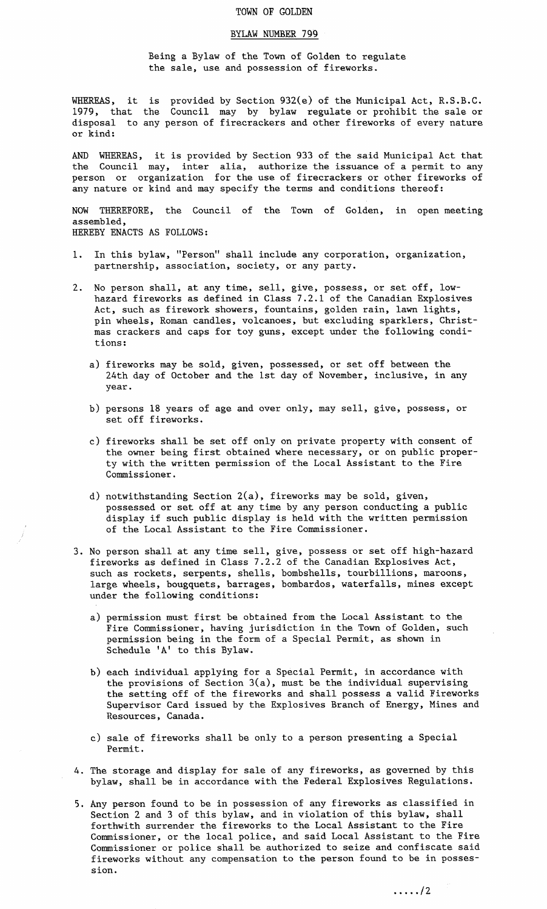## TOWN OF GOLDEN

## BYLAW NUMBER 799

Being a Bylaw of the Town of Golden to regulate the sale, use and possession of fireworks.

WHEREAS, it is provided by Section 932(e) of the Municipal Act, R.S.B.C. 1979, that the Council may by bylaw regulate or prohibit the sale or disposal to any person of firecrackers and other fireworks of every nature or kind:

AND WHEREAS, it is provided by Section 933 of the said Municipal Act that the Council may, inter alia, authorize the issuance of a permit to any person or organization for the use of firecrackers or other fireworks of any nature or kind and may specify the terms and conditions thereof:

NOW THEREFORE, the Council of the Town of Golden, in open meeting assembled,

HEREBY ENACTS AS FOLLOWS:

- 1. In this bylaw, "Person" shall include any corporation, organization, partnership, association, society, or any party.
- 2. No person shall, at any time, sell, give, possess, or set off, lowhazard fireworks as defined in Class 7.2.1 of the Canadian Explosives Act, such as firework showers, fountains, golden rain, lawn lights, pin wheels, Roman candles, volcanoes, but excluding sparklers, Christmas crackers and caps for toy guns, except under the following conditions:
	- a) fireworks may be sold, given, possessed, or set off between the 24th day of October and the 1st day of November, inclusive, in any year.
	- b) persons 18 years of age and over only, may sell, give, possess, or set off fireworks.
	- c) fireworks shall be set off only on private property with consent of the owner being first obtained where necessary, or on public property with the written permission of the Local Assistant to the Fire Commissioner.
	- d) notwithstanding Section 2(a), fireworks may be sold, given, possessed or set off at any time by any person conducting a public display if such public display is held with the written permission of the Local Assistant to the Fire Commissioner.
- 3. No person shall at any time sell, give, possess or set off high-hazard fireworks as defined in Class 7.2.2 of the Canadian Explosives Act, such as rockets, serpents, shells, bombshells, tourbillions, maroons, large wheels, bougquets, barrages, bombardos, waterfalls, mines except under the following conditions:
	- a) permission must first be obtained from the Local Assistant to the Fire Commissioner, having jurisdiction in the Town of Golden, such permission being in the form of a Special Permit, as shown in Schedule 'A' to this Bylaw.
	- b) each individual applying for a Special Permit, in accordance with the provisions of Section 3(a), must be the individual supervising the setting off of the fireworks and shall possess a valid Fireworks Supervisor Card issued by the Explosives Branch of Energy, Mines and Resources, Canada.
	- c) sale of fireworks shall be only to a person presenting a Special Permit.
- 4. The storage and display for sale of any fireworks, as governed by this bylaw, shall be in accordance with the Federal Explosives Regulations.
- 5. Any person found to be in possession of any fireworks as classified in Section 2 and 3 of this bylaw, and in violation of this bylaw, shall forthwith surrender the fireworks to the Local Assistant to the Fire Commissioner, or the local police, and said Local Assistant to the Fire Commissioner or police shall be authorized to seize and confiscate said fireworks without any compensation to the person found to be in possession.

/2